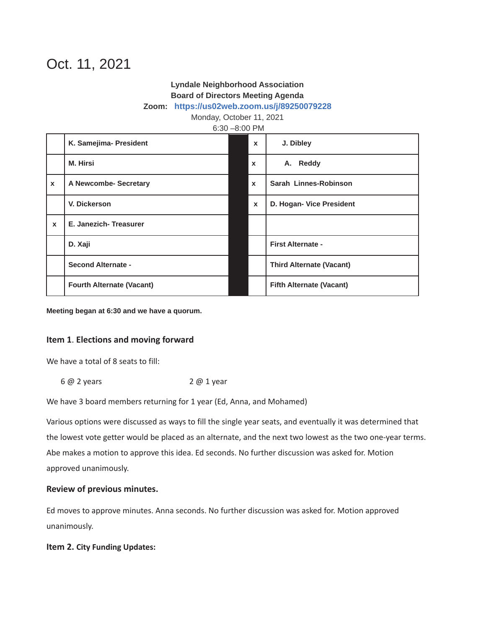# Oct. 11, 2021

## **Lyndale Neighborhood Association Board of Directors Meeting Agenda**

#### **Zoom: https://us02web.zoom.us/j/89250079228**

Monday, October 11, 2021

#### 6:30 –8:00 PM

|              | K. Samejima- President           | $\mathbf{x}$              | J. Dibley                       |
|--------------|----------------------------------|---------------------------|---------------------------------|
|              | <b>M. Hirsi</b>                  | $\boldsymbol{\mathsf{x}}$ | A. Reddy                        |
| $\mathbf{x}$ | A Newcombe- Secretary            | $\mathbf{x}$              | Sarah Linnes-Robinson           |
|              | V. Dickerson                     | $\mathbf{x}$              | D. Hogan- Vice President        |
| $\mathbf{x}$ | E. Janezich-Treasurer            |                           |                                 |
|              | D. Xaji                          |                           | <b>First Alternate -</b>        |
|              | <b>Second Alternate -</b>        |                           | <b>Third Alternate (Vacant)</b> |
|              | <b>Fourth Alternate (Vacant)</b> |                           | <b>Fifth Alternate (Vacant)</b> |

**Meeting began at 6:30 and we have a quorum.**

#### **Item 1**. **Elections and moving forward**

We have a total of 8 seats to fill:

6 @ 2 years 2 @ 1 year

We have 3 board members returning for 1 year (Ed, Anna, and Mohamed)

Various options were discussed as ways to fill the single year seats, and eventually it was determined that the lowest vote getter would be placed as an alternate, and the next two lowest as the two one-year terms. Abe makes a motion to approve this idea. Ed seconds. No further discussion was asked for. Motion approved unanimously.

#### **Review of previous minutes.**

Ed moves to approve minutes. Anna seconds. No further discussion was asked for. Motion approved unanimously.

#### **Item 2. City Funding Updates:**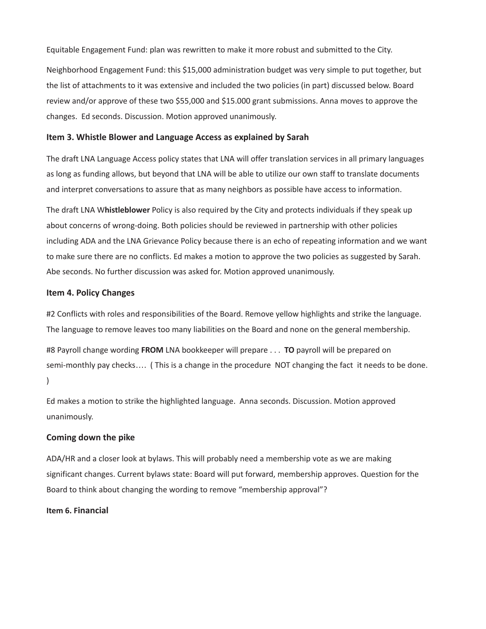Equitable Engagement Fund: plan was rewritten to make it more robust and submitted to the City.

Neighborhood Engagement Fund: this \$15,000 administration budget was very simple to put together, but the list of attachments to it was extensive and included the two policies (in part) discussed below. Board review and/or approve of these two \$55,000 and \$15.000 grant submissions. Anna moves to approve the changes. Ed seconds. Discussion. Motion approved unanimously.

#### **Item 3. Whistle Blower and Language Access as explained by Sarah**

The draft LNA Language Access policy states that LNA will offer translation services in all primary languages as long as funding allows, but beyond that LNA will be able to utilize our own staff to translate documents and interpret conversations to assure that as many neighbors as possible have access to information.

The draft LNA W**histleblower** Policy is also required by the City and protects individuals if they speak up about concerns of wrong-doing. Both policies should be reviewed in partnership with other policies including ADA and the LNA Grievance Policy because there is an echo of repeating information and we want to make sure there are no conflicts. Ed makes a motion to approve the two policies as suggested by Sarah. Abe seconds. No further discussion was asked for. Motion approved unanimously.

### **Item 4. Policy Changes**

#2 Conflicts with roles and responsibilities of the Board. Remove yellow highlights and strike the language. The language to remove leaves too many liabilities on the Board and none on the general membership.

#8 Payroll change wording **FROM** LNA bookkeeper will prepare . . . **TO** payroll will be prepared on semi-monthly pay checks…. ( This is a change in the procedure NOT changing the fact it needs to be done.  $\lambda$ 

Ed makes a motion to strike the highlighted language. Anna seconds. Discussion. Motion approved unanimously.

#### **Coming down the pike**

ADA/HR and a closer look at bylaws. This will probably need a membership vote as we are making significant changes. Current bylaws state: Board will put forward, membership approves. Question for the Board to think about changing the wording to remove "membership approval"?

#### **Item 6. Financial**